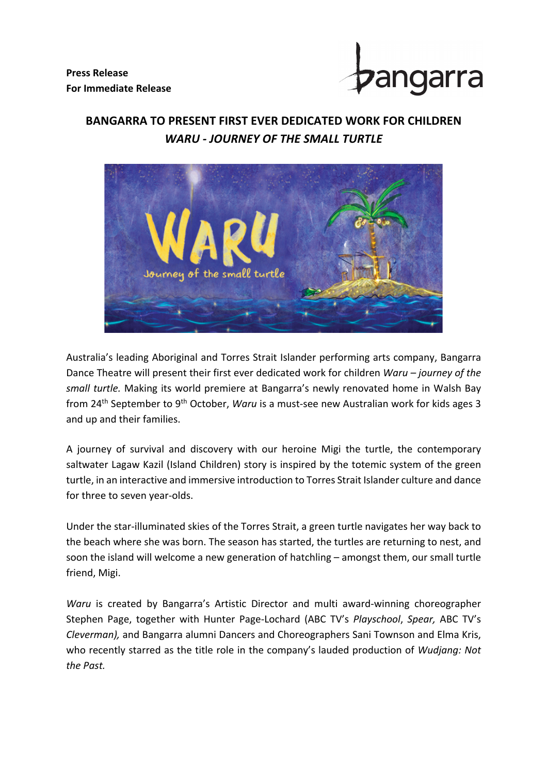**Press Release For Immediate Release**



## **BANGARRA TO PRESENT FIRST EVER DEDICATED WORK FOR CHILDREN** *WARU - JOURNEY OF THE SMALL TURTLE*



Australia's leading Aboriginal and Torres Strait Islander performing arts company, Bangarra Dance Theatre will present their first ever dedicated work for children *Waru – journey of the small turtle.* Making its world premiere at Bangarra's newly renovated home in Walsh Bay from 24th September to 9th October, *Waru* is a must-see new Australian work for kids ages 3 and up and their families.

A journey of survival and discovery with our heroine Migi the turtle, the contemporary saltwater Lagaw Kazil (Island Children) story is inspired by the totemic system of the green turtle, in an interactive and immersive introduction to Torres Strait Islander culture and dance for three to seven year-olds.

Under the star-illuminated skies of the Torres Strait, a green turtle navigates her way back to the beach where she was born. The season has started, the turtles are returning to nest, and soon the island will welcome a new generation of hatchling – amongst them, our small turtle friend, Migi.

*Waru* is created by Bangarra's Artistic Director and multi award-winning choreographer Stephen Page, together with Hunter Page-Lochard (ABC TV's *Playschool*, *Spear,* ABC TV's *Cleverman),* and Bangarra alumni Dancers and Choreographers Sani Townson and Elma Kris, who recently starred as the title role in the company's lauded production of *Wudjang: Not the Past.*